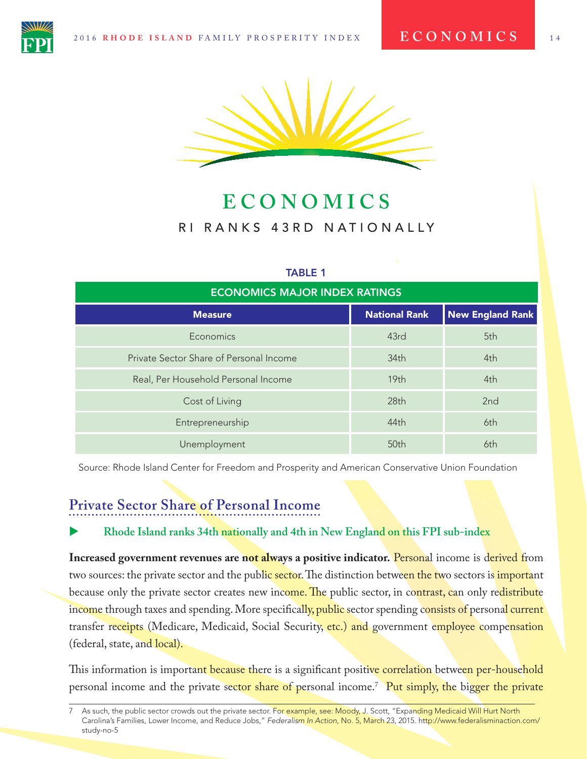

# **ECONOMICS** RI RANKS 43RD NATIONALLY

#### TABLE 1

| <b>ECONOMICS MAJOR INDEX RATINGS</b>    |                      |                         |
|-----------------------------------------|----------------------|-------------------------|
| <b>Measure</b>                          | <b>National Rank</b> | <b>New England Rank</b> |
| Economics                               | 43rd                 | 5th                     |
| Private Sector Share of Personal Income | 34 <sub>th</sub>     | 4th                     |
| Real, Per Household Personal Income     | 19 <sub>th</sub>     | 4th                     |
| Cost of Living                          | 28 <sub>th</sub>     | 2 <sub>nd</sub>         |
| Entrepreneurship                        | 44th                 | 6th                     |
| <b>Unemployment</b>                     | 50th                 | 6th                     |

Source: Rhode Island Center for Freedom and Prosperity and American Conservative Union Foundation

## **Private Sector Share of Personal Income**

#### X **Rhode Island ranks 34th nationally and 4th in New England on this FPI sub-index**

**Increased government revenues are not always a positive indicator.** Personal income is derived from two sources: the private sector and the public sector. The distinction between the two sectors is *important* because only the private sector creates new income. The public sector, in contrast, can only redistribute income through taxes and spending. More specifically, public sector spending consists of personal current transfer receipts (Medicare, Medicaid, Social Security, etc.) and government employee compensation (federal, state, and local).

This information is important because there is a significant positive correlation between per-household personal income and the private sector share of personal income.<sup>7</sup> Put simply, the bigger the private

As such, the public sector crowds out the private sector. For example, see: Moody, J. Scott, "Expanding Medicaid Will Hurt North Carolina's Families, Lower Income, and Reduce Jobs," *Federalism In Action*, No. 5, March 23, 2015. http://www.federalisminaction.com/ study-no-5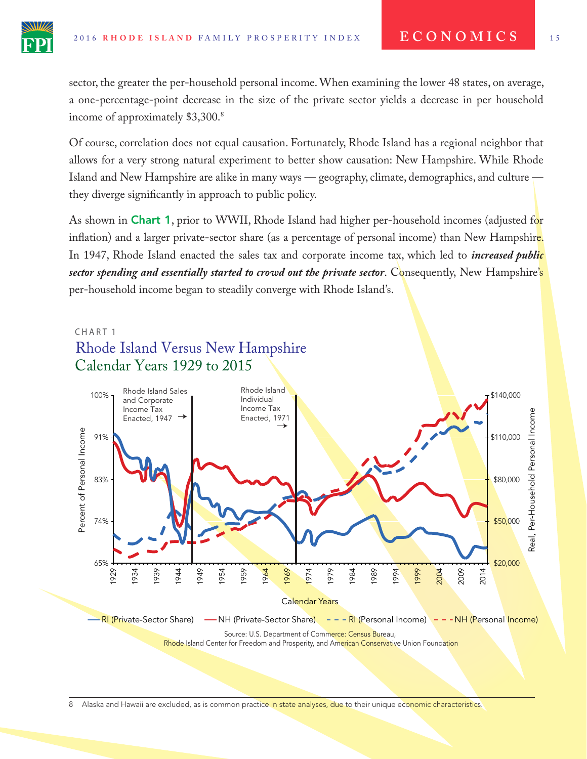income of approximately \$3,300.<sup>8</sup>



Of course, correlation does not equal causation. Fortunately, Rhode Island has a regional neighbor that allows for a very strong natural experiment to better show causation: New Hampshire. While Rhode Island and New Hampshire are alike in many ways — geography, climate, demographics, and culture they diverge signifcantly in approach to public policy.

As shown in **Chart 1**, prior to WWII, Rhode Island had higher per-household incomes (adjusted for inflation) and a larger private-sector share (as a percentage of personal income) than New Hampshire. In 1947, Rhode Island enacted the sales tax and corporate income tax, which led to *increased public sector spending and essentially started to crowd out the private sector*. Consequently, New Hampshire's per-household income began to steadily converge with Rhode Island's.

#### CHART<sub>1</sub>





8 Alaska and Hawaii are excluded, as is common practice in state analyses, due to their unique economic characteristics.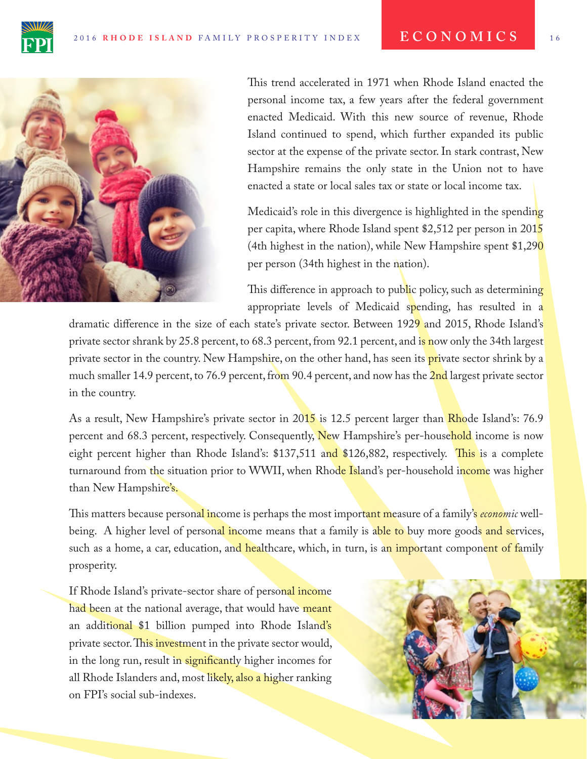



This trend accelerated in 1971 when Rhode Island enacted the personal income tax, a few years after the federal government enacted Medicaid. With this new source of revenue, Rhode Island continued to spend, which further expanded its public sector at the expense of the private sector. In stark contrast, New Hampshire remains the only state in the Union not to have enacted a state or local sales tax or state or local income tax.

Medicaid's role in this divergence is highlighted in the spending per capita, where Rhode Island spent \$2,512 per person in 2015 (4th highest in the nation), while New Hampshire spent  $$1,290$ per person (34th highest in the nation).

This difference in approach to public policy, such as determining appropriate levels of Medicaid spending, has resulted in a

dramatic difference in the size of each state's private sector. Between 1929 and 2015, Rhode Island's private sector shrank by 25.8 percent, to 68.3 percent, from 92.1 percent, and is now only the 34th largest private sector in the country. New Hampshire, on the other hand, has seen its **pri**vate sector shrink by a much smaller 14.9 percent, to 76.9 percent, from 90.4 percent, and now has the 2nd largest private sector in the country.

As a result, New Hampshire's private sector in 2015 is 12.5 percent larger than Rhode Island's: 76.9 percent and 68.3 percent, respectively. Consequently, New Hampshire's per-household income is now eight percent higher than Rhode Island's: \$137,511 and \$126,882, respectively. This is a complete turnaround from the situation prior to WWII, when Rhode Island's per-household income was higher than New Hampshire's.

Tis matters because personal income is perhaps the most important measure of a family's *economic* wellbeing. A higher level of personal income means that a family is able to buy more goods and services, such as a home, a car, education, and healthcare, which, in turn, is an important component of family prosperity.

If Rhode Island's private-sector share of personal income had been at the national average, that would have meant an additional \$1 billion pumped into Rhode Island's private sector. This investment in the private sector would, in the long run, result in significantly higher incomes for all Rhode Islanders and, most likely, also a higher ranking on FPI's social sub-indexes.

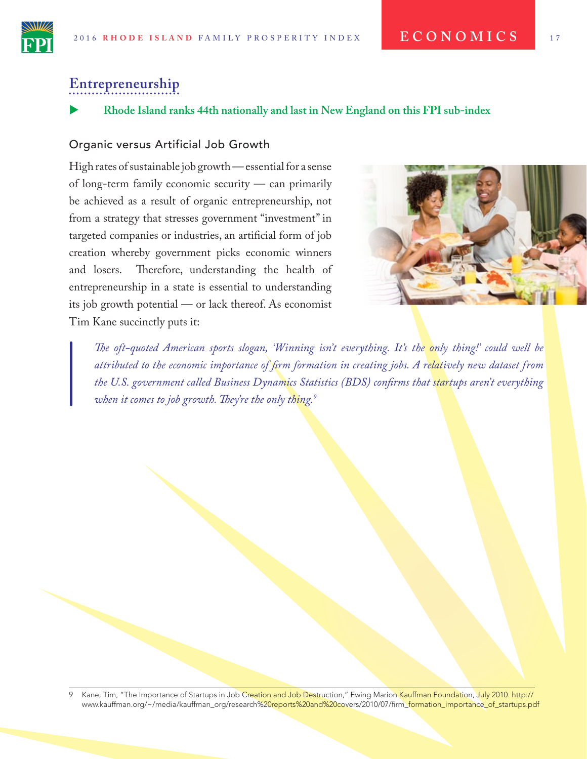## **Entrepreneurship**

X **Rhode Island ranks 44th nationally and last in New England on this FPI sub-index**

#### Organic versus Artificial Job Growth

High rates of sustainable job growth — essential for a sense of long-term family economic security — can primarily be achieved as a result of organic entrepreneurship, not from a strategy that stresses government "investment" in targeted companies or industries, an artifcial form of job creation whereby government picks economic winners and losers. Therefore, understanding the health of entrepreneurship in a state is essential to understanding its job growth potential — or lack thereof. As economist Tim Kane succinctly puts it:



*Te oft-quoted American sports slogan, 'Winning isn't everything. It's the only thing!' could well be attributed to the economic importance of frm formation in creating jobs. A relatively new dataset from the U.S. government called Business Dynamics Statistics (BDS) confrms that startups aren't everything when it comes to job growth. Tey're the only thing.9*

Kane, Tim, "The Importance of Startups in Job Creation and Job Destruction," Ewing Marion Kauffman Foundation, July 2010. http:// www.kauffman.org/~/media/kauffman\_org/research%20reports%20and%20covers/2010/07/firm\_formation\_importance\_of\_startups.pdf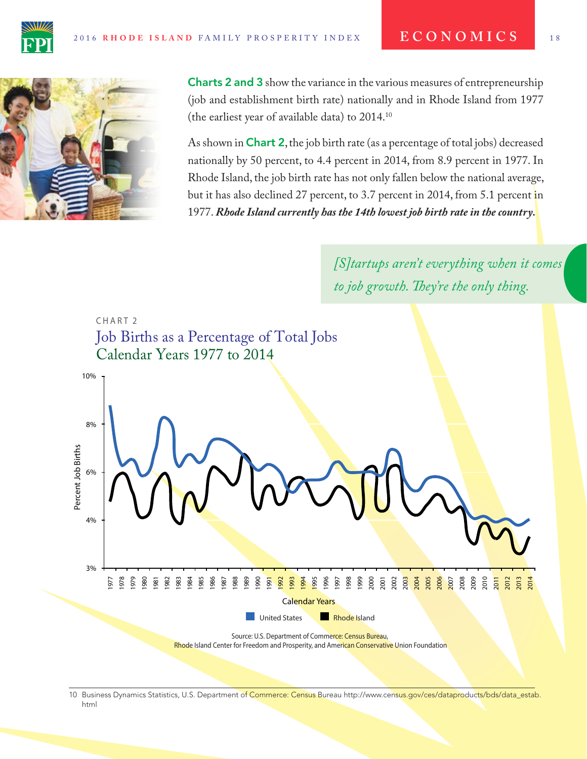



Charts 2 and 3 show the variance in the various measures of entrepreneurship (job and establishment birth rate) nationally and in Rhode Island from 1977 (the earliest year of available data) to 2014.10

As shown in **Chart 2**, the job birth rate (as a percentage of total jobs) decreased nationally by 50 percent, to 4.4 percent in 2014, from 8.9 percent in 1977. In Rhode Island, the job birth rate has not only fallen below the national average, but it has also declined 27 percent, to 3.7 percent in 2014, from 5.1 percent in 1977. *Rhode Island currently has the 14th lowest job birth rate in the country.*

> *[S]tartups aren't everything when it comes to job growth. Tey're the only thing.*



<sup>10</sup> Business Dynamics Statistics, U.S. Department of Commerce: Census Bureau http://www.census.gov/ces/dataproducts/bds/data\_estab html